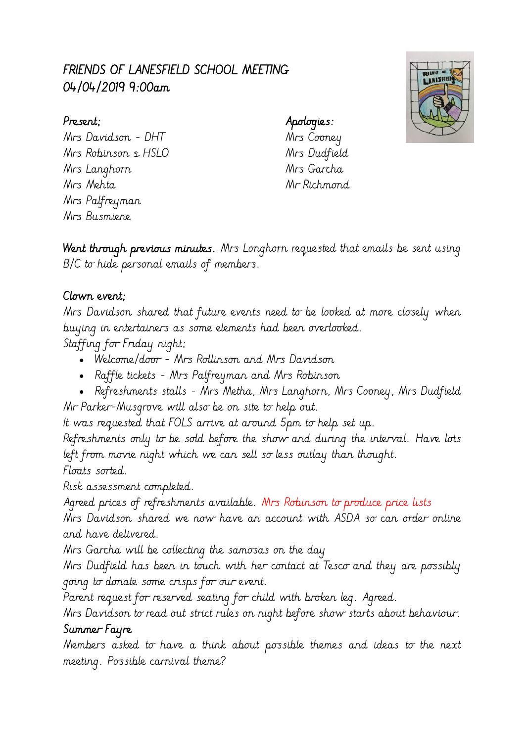# FRIENDS OF LANESFIELD SCHOOL MEETING 04/04/2019 9:00am

# LANESFIEL

### Present; Apologies:

Mrs Davidson - DHT Mrs Cooney Mrs Robinson & HSLO Mrs Dudfield Mrs Langhorn Mrs Garcha Mrs Mehta Mr Richmond Mrs Palfreyman Mrs Busmiene

Went through previous minutes. Mrs Longhorn requested that emails be sent using B/C to hide personal emails of members.

## Clown event;

Mrs Davidson shared that future events need to be looked at more closely when buying in entertainers as some elements had been overlooked.

Staffing for Friday night;

- Welcome/door Mrs Rollinson and Mrs Davidson
- Raffle tickets Mrs Palfreyman and Mrs Robinson
- Refreshments stalls Mrs Metha, Mrs Langhorn, Mrs Cooney, Mrs Dudfield Mr Parker-Musgrove will also be on site to help out.

It was requested that FOLS arrive at around 5pm to help set up.

Refreshments only to be sold before the show and during the interval. Have lots left from movie night which we can sell so less outlay than thought.

Floats sorted.

Risk assessment completed.

Agreed prices of refreshments available. Mrs Robinson to produce price lists

Mrs Davidson shared we now have an account with ASDA so can order online and have delivered.

Mrs Garcha will be collecting the samosas on the day

Mrs Dudfield has been in touch with her contact at Tesco and they are possibly going to donate some crisps for our event.

Parent request for reserved seating for child with broken leg. Agreed.

Mrs Davidson to read out strict rules on night before show starts about behaviour. Summer Fayre

Members asked to have a think about possible themes and ideas to the next meeting. Possible carnival theme?